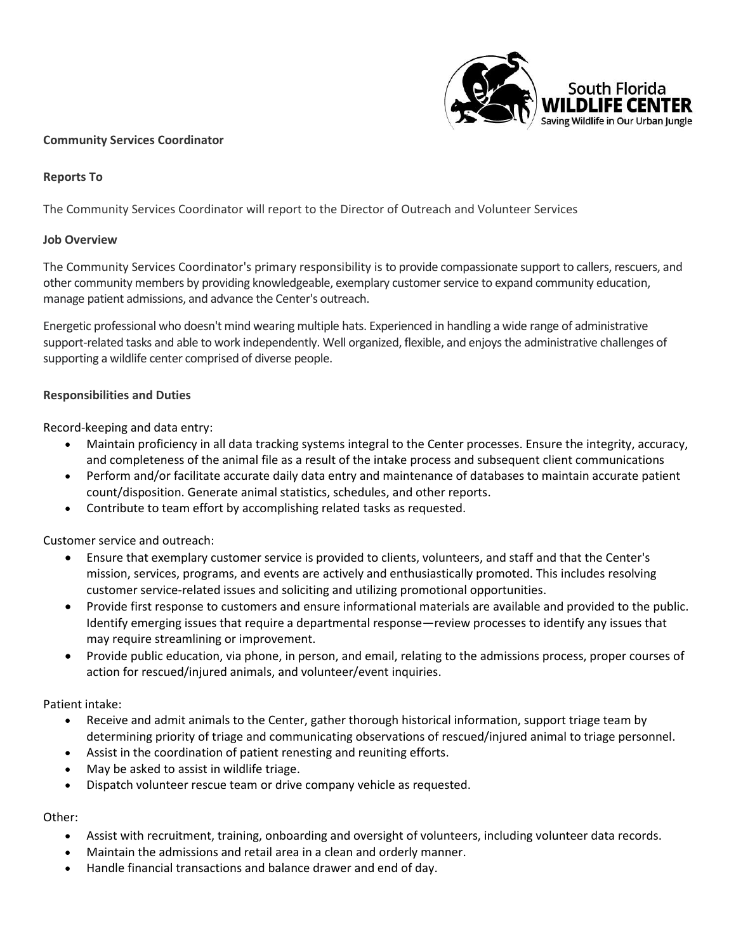

#### **Community Services Coordinator**

### **Reports To**

The Community Services Coordinator will report to the Director of Outreach and Volunteer Services

#### **Job Overview**

The Community Services Coordinator's primary responsibility is to provide compassionate support to callers, rescuers, and other community members by providing knowledgeable, exemplary customer service to expand community education, manage patient admissions, and advance the Center's outreach.

Energetic professional who doesn't mind wearing multiple hats. Experienced in handling a wide range of administrative support-related tasks and able to work independently. Well organized, flexible, and enjoysthe administrative challenges of supporting a wildlife center comprised of diverse people.

#### **Responsibilities and Duties**

Record-keeping and data entry:

- Maintain proficiency in all data tracking systems integral to the Center processes. Ensure the integrity, accuracy, and completeness of the animal file as a result of the intake process and subsequent client communications
- Perform and/or facilitate accurate daily data entry and maintenance of databases to maintain accurate patient count/disposition. Generate animal statistics, schedules, and other reports.
- Contribute to team effort by accomplishing related tasks as requested.

Customer service and outreach:

- Ensure that exemplary customer service is provided to clients, volunteers, and staff and that the Center's mission, services, programs, and events are actively and enthusiastically promoted. This includes resolving customer service-related issues and soliciting and utilizing promotional opportunities.
- Provide first response to customers and ensure informational materials are available and provided to the public. Identify emerging issues that require a departmental response—review processes to identify any issues that may require streamlining or improvement.
- Provide public education, via phone, in person, and email, relating to the admissions process, proper courses of action for rescued/injured animals, and volunteer/event inquiries.

Patient intake:

- Receive and admit animals to the Center, gather thorough historical information, support triage team by determining priority of triage and communicating observations of rescued/injured animal to triage personnel.
- Assist in the coordination of patient renesting and reuniting efforts.
- May be asked to assist in wildlife triage.
- Dispatch volunteer rescue team or drive company vehicle as requested.

Other:

- Assist with recruitment, training, onboarding and oversight of volunteers, including volunteer data records.
- Maintain the admissions and retail area in a clean and orderly manner.
- Handle financial transactions and balance drawer and end of day.